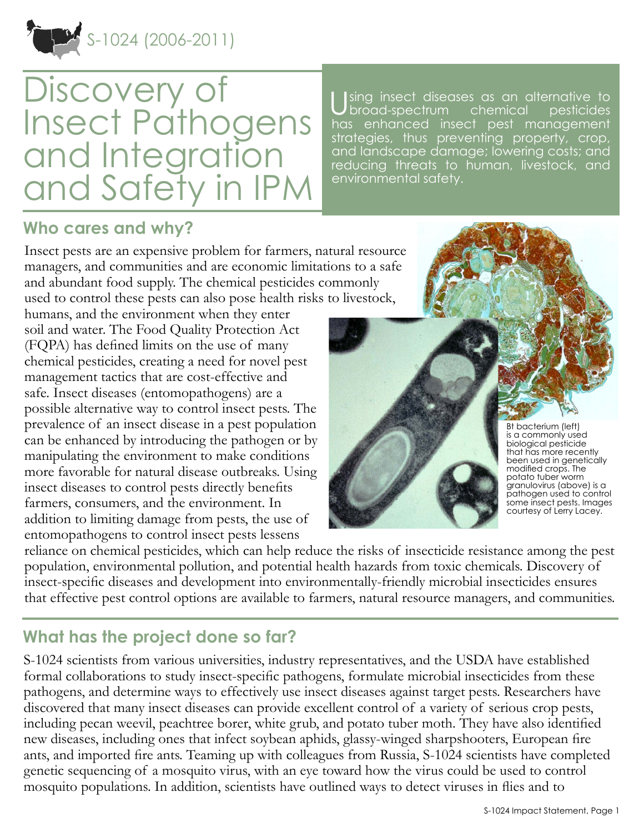

# Discovery of Insect Pathogens and Integration and Safety in IPM

sing insect diseases as an alternative to<br>broad-spectrum chemical pesticides broad-spectrum chemical has enhanced insect pest management strategies, thus preventing property, crop, and landscape damage; lowering costs; and reducing threats to human, livestock, and environmental safety.

### **Who cares and why?**

Insect pests are an expensive problem for farmers, natural resource managers, and communities and are economic limitations to a safe and abundant food supply. The chemical pesticides commonly used to control these pests can also pose health risks to livestock,

humans, and the environment when they enter soil and water. The Food Quality Protection Act (FQPA) has defined limits on the use of many chemical pesticides, creating a need for novel pest management tactics that are cost-effective and safe. Insect diseases (entomopathogens) are a possible alternative way to control insect pests. The prevalence of an insect disease in a pest population can be enhanced by introducing the pathogen or by manipulating the environment to make conditions more favorable for natural disease outbreaks. Using insect diseases to control pests directly benefits farmers, consumers, and the environment. In addition to limiting damage from pests, the use of entomopathogens to control insect pests lessens



Bt bacterium (left) is a commonly used biological pesticide that has more recently been used in genetically modified crops. The potato tuber worm granulovirus (above) is a pathogen used to control some insect pests. Images courtesy of Lerry Lacey.

reliance on chemical pesticides, which can help reduce the risks of insecticide resistance among the pest population, environmental pollution, and potential health hazards from toxic chemicals. Discovery of insect-specific diseases and development into environmentally-friendly microbial insecticides ensures that effective pest control options are available to farmers, natural resource managers, and communities.

## **What has the project done so far?**

S-1024 scientists from various universities, industry representatives, and the USDA have established formal collaborations to study insect-specific pathogens, formulate microbial insecticides from these pathogens, and determine ways to effectively use insect diseases against target pests. Researchers have discovered that many insect diseases can provide excellent control of a variety of serious crop pests, including pecan weevil, peachtree borer, white grub, and potato tuber moth. They have also identified new diseases, including ones that infect soybean aphids, glassy-winged sharpshooters, European fire ants, and imported fire ants. Teaming up with colleagues from Russia, S-1024 scientists have completed genetic sequencing of a mosquito virus, with an eye toward how the virus could be used to control mosquito populations. In addition, scientists have outlined ways to detect viruses in flies and to